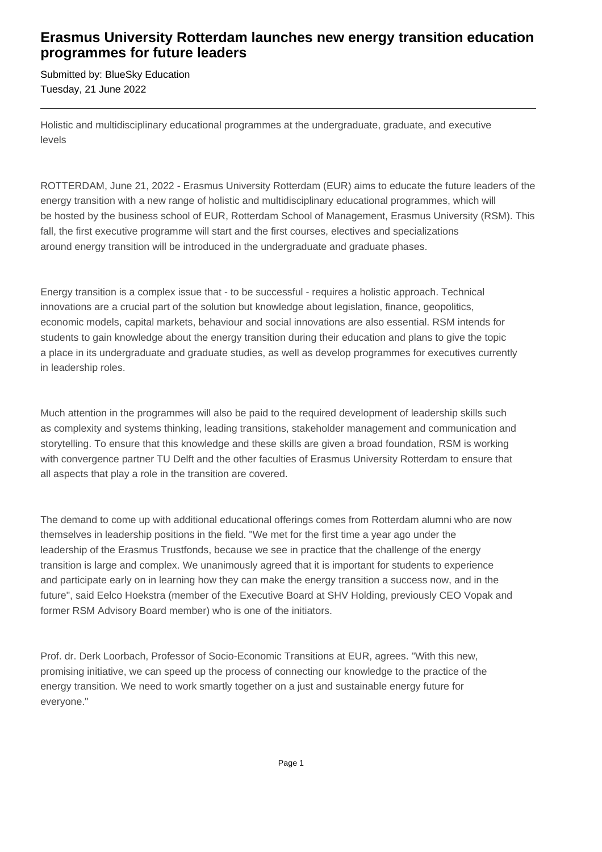# **Erasmus University Rotterdam launches new energy transition education programmes for future leaders**

Submitted by: BlueSky Education Tuesday, 21 June 2022

Holistic and multidisciplinary educational programmes at the undergraduate, graduate, and executive levels

ROTTERDAM, June 21, 2022 - Erasmus University Rotterdam (EUR) aims to educate the future leaders of the energy transition with a new range of holistic and multidisciplinary educational programmes, which will be hosted by the business school of EUR, Rotterdam School of Management, Erasmus University (RSM). This fall, the first executive programme will start and the first courses, electives and specializations around energy transition will be introduced in the undergraduate and graduate phases.

Energy transition is a complex issue that - to be successful - requires a holistic approach. Technical innovations are a crucial part of the solution but knowledge about legislation, finance, geopolitics, economic models, capital markets, behaviour and social innovations are also essential. RSM intends for students to gain knowledge about the energy transition during their education and plans to give the topic a place in its undergraduate and graduate studies, as well as develop programmes for executives currently in leadership roles.

Much attention in the programmes will also be paid to the required development of leadership skills such as complexity and systems thinking, leading transitions, stakeholder management and communication and storytelling. To ensure that this knowledge and these skills are given a broad foundation, RSM is working with convergence partner TU Delft and the other faculties of Erasmus University Rotterdam to ensure that all aspects that play a role in the transition are covered.

The demand to come up with additional educational offerings comes from Rotterdam alumni who are now themselves in leadership positions in the field. "We met for the first time a year ago under the leadership of the Erasmus Trustfonds, because we see in practice that the challenge of the energy transition is large and complex. We unanimously agreed that it is important for students to experience and participate early on in learning how they can make the energy transition a success now, and in the future", said Eelco Hoekstra (member of the Executive Board at SHV Holding, previously CEO Vopak and former RSM Advisory Board member) who is one of the initiators.

Prof. dr. Derk Loorbach, Professor of Socio-Economic Transitions at EUR, agrees. "With this new, promising initiative, we can speed up the process of connecting our knowledge to the practice of the energy transition. We need to work smartly together on a just and sustainable energy future for everyone."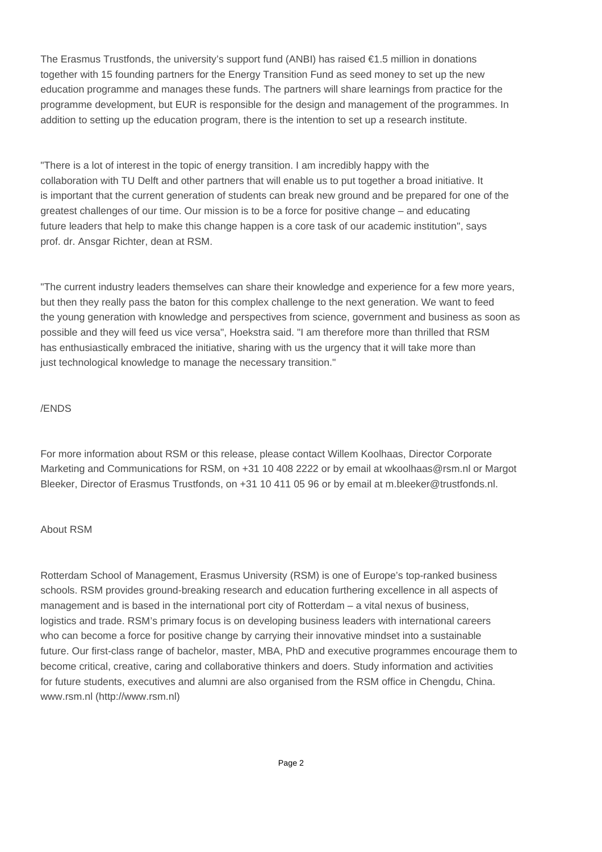The Erasmus Trustfonds, the university's support fund (ANBI) has raised  $\epsilon$ 1.5 million in donations together with 15 founding partners for the Energy Transition Fund as seed money to set up the new education programme and manages these funds. The partners will share learnings from practice for the programme development, but EUR is responsible for the design and management of the programmes. In addition to setting up the education program, there is the intention to set up a research institute.

"There is a lot of interest in the topic of energy transition. I am incredibly happy with the collaboration with TU Delft and other partners that will enable us to put together a broad initiative. It is important that the current generation of students can break new ground and be prepared for one of the greatest challenges of our time. Our mission is to be a force for positive change – and educating future leaders that help to make this change happen is a core task of our academic institution'', says prof. dr. Ansgar Richter, dean at RSM.

"The current industry leaders themselves can share their knowledge and experience for a few more years, but then they really pass the baton for this complex challenge to the next generation. We want to feed the young generation with knowledge and perspectives from science, government and business as soon as possible and they will feed us vice versa", Hoekstra said. "I am therefore more than thrilled that RSM has enthusiastically embraced the initiative, sharing with us the urgency that it will take more than just technological knowledge to manage the necessary transition."

## /ENDS

For more information about RSM or this release, please contact Willem Koolhaas, Director Corporate Marketing and Communications for RSM, on +31 10 408 2222 or by email at wkoolhaas@rsm.nl or Margot Bleeker, Director of Erasmus Trustfonds, on +31 10 411 05 96 or by email at m.bleeker@trustfonds.nl.

### About RSM

Rotterdam School of Management, Erasmus University (RSM) is one of Europe's top-ranked business schools. RSM provides ground-breaking research and education furthering excellence in all aspects of management and is based in the international port city of Rotterdam – a vital nexus of business, logistics and trade. RSM's primary focus is on developing business leaders with international careers who can become a force for positive change by carrying their innovative mindset into a sustainable future. Our first-class range of bachelor, master, MBA, PhD and executive programmes encourage them to become critical, creative, caring and collaborative thinkers and doers. Study information and activities for future students, executives and alumni are also organised from the RSM office in Chengdu, China. www.rsm.nl (http://www.rsm.nl)